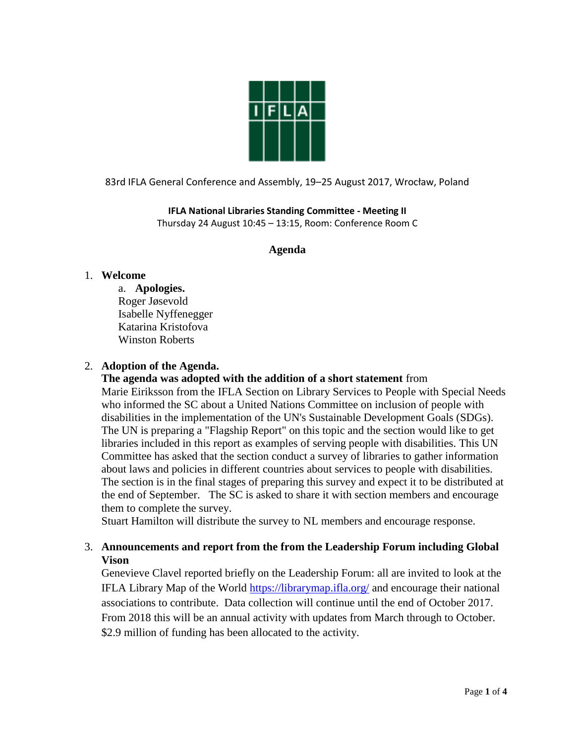

83rd IFLA General Conference and Assembly, 19–25 August 2017, Wrocław, Poland

**IFLA National Libraries Standing Committee - Meeting II** Thursday 24 August 10:45 – 13:15, Room: Conference Room C

## **Agenda**

## 1. **Welcome**

a. **Apologies.** Roger Jøsevold Isabelle Nyffenegger Katarina Kristofova Winston Roberts

#### 2. **Adoption of the Agenda.**

## **The agenda was adopted with the addition of a short statement** from

Marie Eiriksson from the IFLA Section on Library Services to People with Special Needs who informed the SC about a United Nations Committee on inclusion of people with disabilities in the implementation of the UN's Sustainable Development Goals (SDGs). The UN is preparing a "Flagship Report" on this topic and the section would like to get libraries included in this report as examples of serving people with disabilities. This UN Committee has asked that the section conduct a survey of libraries to gather information about laws and policies in different countries about services to people with disabilities. The section is in the final stages of preparing this survey and expect it to be distributed at the end of September. The SC is asked to share it with section members and encourage them to complete the survey.

Stuart Hamilton will distribute the survey to NL members and encourage response.

## 3. **Announcements and report from the from the Leadership Forum including Global Vison**

Genevieve Clavel reported briefly on the Leadership Forum: all are invited to look at the IFLA Library Map of the World<https://librarymap.ifla.org/> and encourage their national associations to contribute. Data collection will continue until the end of October 2017. From 2018 this will be an annual activity with updates from March through to October. \$2.9 million of funding has been allocated to the activity.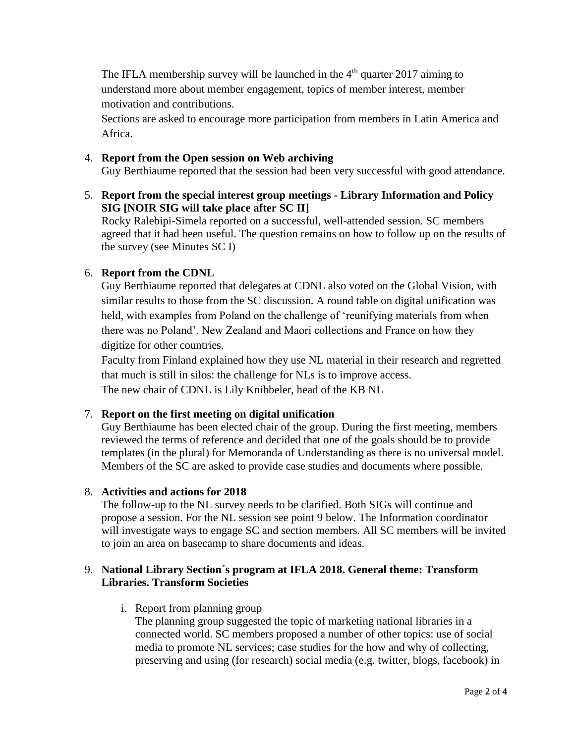The IFLA membership survey will be launched in the  $4<sup>th</sup>$  quarter 2017 aiming to understand more about member engagement, topics of member interest, member motivation and contributions.

Sections are asked to encourage more participation from members in Latin America and Africa.

## 4. **Report from the Open session on Web archiving**

Guy Berthiaume reported that the session had been very successful with good attendance.

5. **Report from the special interest group meetings - Library Information and Policy SIG [NOIR SIG will take place after SC II]**

Rocky Ralebipi-Simela reported on a successful, well-attended session. SC members agreed that it had been useful. The question remains on how to follow up on the results of the survey (see Minutes SC I)

## 6. **Report from the CDNL**

Guy Berthiaume reported that delegates at CDNL also voted on the Global Vision, with similar results to those from the SC discussion. A round table on digital unification was held, with examples from Poland on the challenge of 'reunifying materials from when there was no Poland', New Zealand and Maori collections and France on how they digitize for other countries.

Faculty from Finland explained how they use NL material in their research and regretted that much is still in silos: the challenge for NLs is to improve access. The new chair of CDNL is Lily Knibbeler, head of the KB NL

## 7. **Report on the first meeting on digital unification**

Guy Berthiaume has been elected chair of the group. During the first meeting, members reviewed the terms of reference and decided that one of the goals should be to provide templates (in the plural) for Memoranda of Understanding as there is no universal model. Members of the SC are asked to provide case studies and documents where possible.

## 8. **Activities and actions for 2018**

The follow-up to the NL survey needs to be clarified. Both SIGs will continue and propose a session. For the NL session see point 9 below. The Information coordinator will investigate ways to engage SC and section members. All SC members will be invited to join an area on basecamp to share documents and ideas.

# 9. **National Library Section´s program at IFLA 2018. General theme: Transform Libraries. Transform Societies**

i. Report from planning group

The planning group suggested the topic of marketing national libraries in a connected world. SC members proposed a number of other topics: use of social media to promote NL services; case studies for the how and why of collecting, preserving and using (for research) social media (e.g. twitter, blogs, facebook) in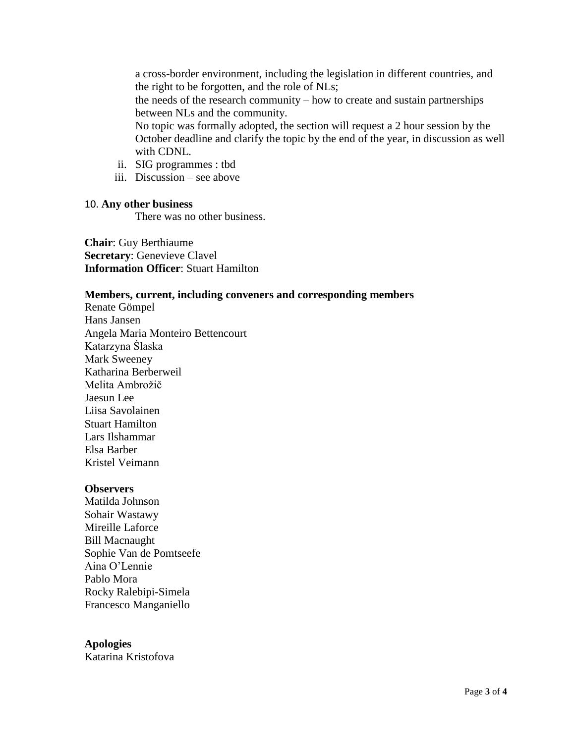a cross-border environment, including the legislation in different countries, and the right to be forgotten, and the role of NLs; the needs of the research community – how to create and sustain partnerships between NLs and the community. No topic was formally adopted, the section will request a 2 hour session by the October deadline and clarify the topic by the end of the year, in discussion as well with CDNL.

- ii. SIG programmes : tbd
- iii. Discussion see above

#### 10. **Any other business**

There was no other business.

**Chair**: Guy Berthiaume **Secretary**: Genevieve Clavel **Information Officer**: Stuart Hamilton

#### **Members, current, including conveners and corresponding members**

Renate Gömpel Hans Jansen Angela Maria Monteiro Bettencourt Katarzyna Ślaska Mark Sweeney Katharina Berberweil Melita Ambrožič Jaesun Lee Liisa Savolainen Stuart Hamilton Lars Ilshammar Elsa Barber Kristel Veimann

#### **Observers**

Matilda Johnson Sohair Wastawy Mireille Laforce Bill Macnaught Sophie Van de Pomtseefe Aina O'Lennie Pablo Mora Rocky Ralebipi-Simela Francesco Manganiello

**Apologies** Katarina Kristofova